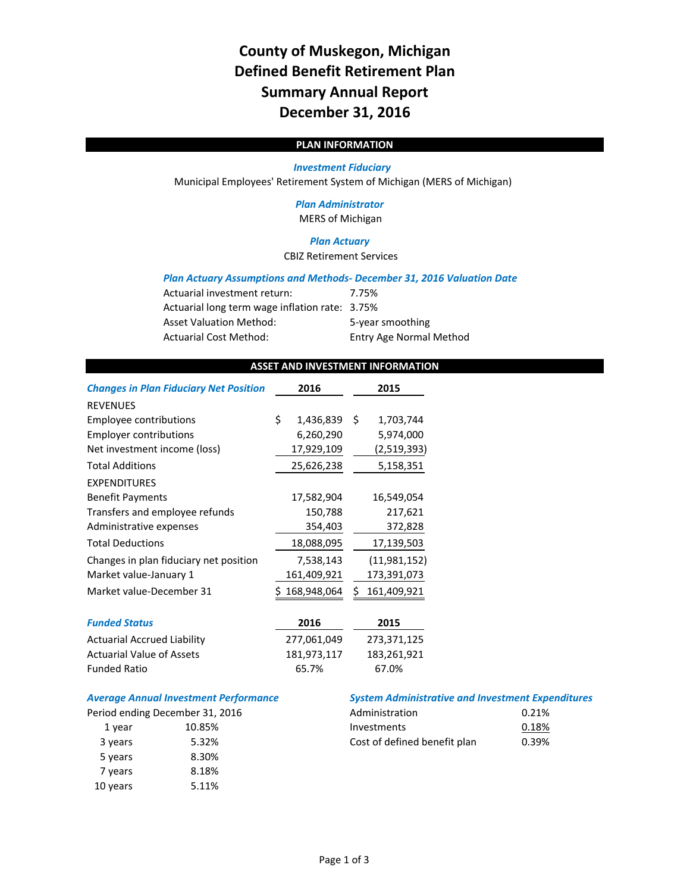# **County of Muskegon, Michigan Defined Benefit Retirement Plan Summary Annual Report December 31, 2016**

# **PLAN INFORMATION**

#### *Investment Fiduciary*

Municipal Employees' Retirement System of Michigan (MERS of Michigan)

### *Plan Administrator* MERS of Michigan

#### *Plan Actuary*

CBIZ Retirement Services

#### *Plan Actuary Assumptions and Methods‐ December 31, 2016 Valuation Date*

| Actuarial investment return:                   | 7.75%                          |
|------------------------------------------------|--------------------------------|
| Actuarial long term wage inflation rate: 3.75% |                                |
| <b>Asset Valuation Method:</b>                 | 5-year smoothing               |
| <b>Actuarial Cost Method:</b>                  | <b>Entry Age Normal Method</b> |

### **ASSET AND INVESTMENT INFORMATION**

| <b>Changes in Plan Fiduciary Net Position</b> | 2016            | 2015             |
|-----------------------------------------------|-----------------|------------------|
| <b>REVENUES</b>                               |                 |                  |
| Employee contributions                        | \$<br>1,436,839 | \$<br>1,703,744  |
| <b>Employer contributions</b>                 | 6,260,290       | 5,974,000        |
| Net investment income (loss)                  | 17,929,109      | (2,519,393)      |
| <b>Total Additions</b>                        | 25,626,238      | 5,158,351        |
| <b>EXPENDITURES</b>                           |                 |                  |
| <b>Benefit Payments</b>                       | 17,582,904      | 16,549,054       |
| Transfers and employee refunds                | 150,788         | 217,621          |
| Administrative expenses                       | 354,403         | 372,828          |
| <b>Total Deductions</b>                       | 18,088,095      | 17,139,503       |
| Changes in plan fiduciary net position        | 7,538,143       | (11,981,152)     |
| Market value-January 1                        | 161,409,921     | 173,391,073      |
| Market value-December 31                      | 168,948,064     | 161,409,921<br>Ś |
| <b>Funded Status</b>                          | 2016            | 2015             |
| <b>Actuarial Accrued Liability</b>            | 277,061,049     | 273,371,125      |
| <b>Actuarial Value of Assets</b>              | 181,973,117     | 183,261,921      |
| <b>Funded Ratio</b>                           | 65.7%           | 67.0%            |

## *Average Annual Investment Performance System Administrative and Investment Expenditures*

|          | eriod ending December 31, 2016 |
|----------|--------------------------------|
| 1 year   | 10.85%                         |
| 3 years  | 5.32%                          |
| 5 years  | 8.30%                          |
| 7 years  | 8.18%                          |
| 10 years | 5.11%                          |

|         | Period ending December 31, 2016 | Administration               | 0.21% |
|---------|---------------------------------|------------------------------|-------|
| 1 vear  | 10.85%                          | Investments                  | 0.18% |
| 3 years | 5.32%                           | Cost of defined benefit plan | 0.39% |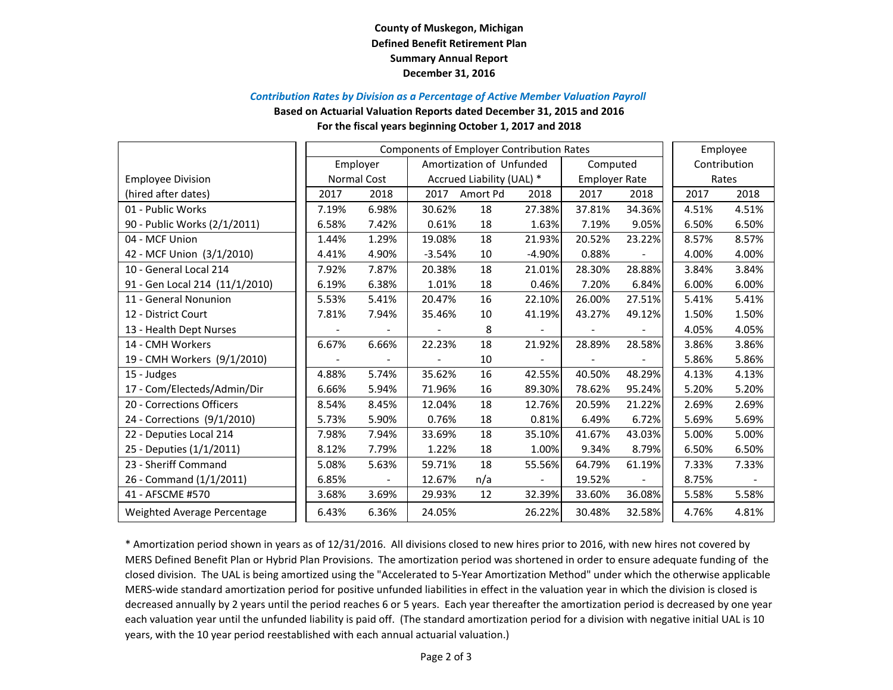# **County of Muskegon, Michigan Defined Benefit Retirement Plan Summary Annual Report December 31, 2016**

#### *Contribution Rates by Division as <sup>a</sup> Percentage of Active Member Valuation Payroll*

**Based on Actuarial Valuation Reports dated December 31, 2015 and 2016**

#### **For the fiscal years beginning October 1, 2017 and 2018**

|                                | <b>Components of Employer Contribution Rates</b> |             |                           |                          |                          |                      |        | Employee     |       |
|--------------------------------|--------------------------------------------------|-------------|---------------------------|--------------------------|--------------------------|----------------------|--------|--------------|-------|
|                                |                                                  | Employer    |                           | Amortization of Unfunded |                          | Computed             |        | Contribution |       |
| <b>Employee Division</b>       |                                                  | Normal Cost | Accrued Liability (UAL) * |                          |                          | <b>Employer Rate</b> |        | Rates        |       |
| (hired after dates)            | 2017                                             | 2018        | 2017                      | Amort Pd                 | 2018                     | 2017                 | 2018   | 2017         | 2018  |
| 01 - Public Works              | 7.19%                                            | 6.98%       | 30.62%                    | 18                       | 27.38%                   | 37.81%               | 34.36% | 4.51%        | 4.51% |
| 90 - Public Works (2/1/2011)   | 6.58%                                            | 7.42%       | 0.61%                     | 18                       | 1.63%                    | 7.19%                | 9.05%  | 6.50%        | 6.50% |
| 04 - MCF Union                 | 1.44%                                            | 1.29%       | 19.08%                    | 18                       | 21.93%                   | 20.52%               | 23.22% | 8.57%        | 8.57% |
| 42 - MCF Union (3/1/2010)      | 4.41%                                            | 4.90%       | $-3.54%$                  | 10                       | $-4.90%$                 | 0.88%                |        | 4.00%        | 4.00% |
| 10 - General Local 214         | 7.92%                                            | 7.87%       | 20.38%                    | 18                       | 21.01%                   | 28.30%               | 28.88% | 3.84%        | 3.84% |
| 91 - Gen Local 214 (11/1/2010) | 6.19%                                            | 6.38%       | 1.01%                     | 18                       | 0.46%                    | 7.20%                | 6.84%  | 6.00%        | 6.00% |
| 11 - General Nonunion          | 5.53%                                            | 5.41%       | 20.47%                    | 16                       | 22.10%                   | 26.00%               | 27.51% | 5.41%        | 5.41% |
| 12 - District Court            | 7.81%                                            | 7.94%       | 35.46%                    | 10                       | 41.19%                   | 43.27%               | 49.12% | 1.50%        | 1.50% |
| 13 - Health Dept Nurses        |                                                  |             |                           | 8                        |                          |                      |        | 4.05%        | 4.05% |
| 14 - CMH Workers               | 6.67%                                            | 6.66%       | 22.23%                    | 18                       | 21.92%                   | 28.89%               | 28.58% | 3.86%        | 3.86% |
| 19 - CMH Workers (9/1/2010)    |                                                  |             |                           | 10                       |                          |                      |        | 5.86%        | 5.86% |
| 15 - Judges                    | 4.88%                                            | 5.74%       | 35.62%                    | 16                       | 42.55%                   | 40.50%               | 48.29% | 4.13%        | 4.13% |
| 17 - Com/Electeds/Admin/Dir    | 6.66%                                            | 5.94%       | 71.96%                    | 16                       | 89.30%                   | 78.62%               | 95.24% | 5.20%        | 5.20% |
| 20 - Corrections Officers      | 8.54%                                            | 8.45%       | 12.04%                    | 18                       | 12.76%                   | 20.59%               | 21.22% | 2.69%        | 2.69% |
| 24 - Corrections (9/1/2010)    | 5.73%                                            | 5.90%       | 0.76%                     | 18                       | 0.81%                    | 6.49%                | 6.72%  | 5.69%        | 5.69% |
| 22 - Deputies Local 214        | 7.98%                                            | 7.94%       | 33.69%                    | 18                       | 35.10%                   | 41.67%               | 43.03% | 5.00%        | 5.00% |
| 25 - Deputies (1/1/2011)       | 8.12%                                            | 7.79%       | 1.22%                     | 18                       | 1.00%                    | 9.34%                | 8.79%  | 6.50%        | 6.50% |
| 23 - Sheriff Command           | 5.08%                                            | 5.63%       | 59.71%                    | 18                       | 55.56%                   | 64.79%               | 61.19% | 7.33%        | 7.33% |
| 26 - Command (1/1/2011)        | 6.85%                                            |             | 12.67%                    | n/a                      | $\overline{\phantom{a}}$ | 19.52%               |        | 8.75%        |       |
| 41 - AFSCME #570               | 3.68%                                            | 3.69%       | 29.93%                    | 12                       | 32.39%                   | 33.60%               | 36.08% | 5.58%        | 5.58% |
| Weighted Average Percentage    | 6.43%                                            | 6.36%       | 24.05%                    |                          | 26.22%                   | 30.48%               | 32.58% | 4.76%        | 4.81% |

\* Amortization period shown in years as of 12/31/2016. All divisions closed to new hires prior to 2016, with new hires not covered by MERS Defined Benefit Plan or Hybrid Plan Provisions. The amortization period was shortened in order to ensure adequate funding of the closed division. The UAL is being amortized using the "Accelerated to 5‐Year Amortization Method" under which the otherwise applicable MERS‐wide standard amortization period for positive unfunded liabilities in effect in the valuation year in which the division is closed is decreased annually by 2 years until the period reaches 6 or 5 years. Each year thereafter the amortization period is decreased by one year each valuation year until the unfunded liability is paid off. (The standard amortization period for <sup>a</sup> division with negative initial UAL is 10 years, with the 10 year period reestablished with each annual actuarial valuation.)